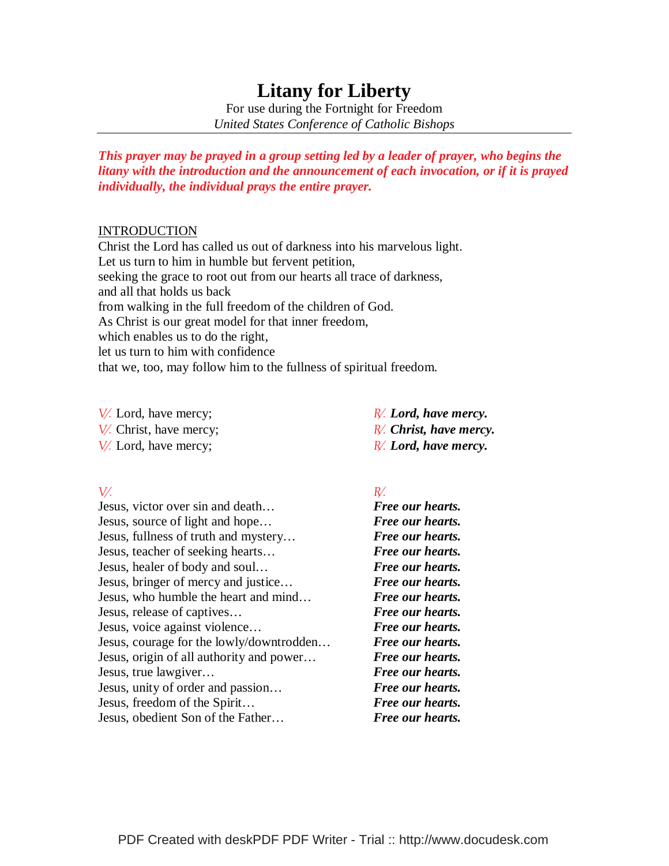# **Litany for Liberty**

For use during the Fortnight for Freedom *United States Conference of Catholic Bishops* 

*This prayer may be prayed in a group setting led by a leader of prayer, who begins the litany with the introduction and the announcement of each invocation, or if it is prayed individually, the individual prays the entire prayer.* 

### INTRODUCTION

Christ the Lord has called us out of darkness into his marvelous light. Let us turn to him in humble but fervent petition, seeking the grace to root out from our hearts all trace of darkness, and all that holds us back from walking in the full freedom of the children of God. As Christ is our great model for that inner freedom, which enables us to do the right, let us turn to him with confidence that we, too, may follow him to the fullness of spiritual freedom.

9 Lord, have mercy; 5*Lord, have mercy.*  9 Christ, have mercy; 5*Christ, have mercy. V*. Lord, have mercy;  $\mathbb{R}$ . Lord, have mercy.

# $V'$ .

Jesus, victor over sin and death… *Free our hearts.*  Jesus, source of light and hope… *Free our hearts.* Jesus, fullness of truth and mystery… *Free our hearts.* Jesus, teacher of seeking hearts… *Free our hearts.* Jesus, healer of body and soul… *Free our hearts.* Jesus, bringer of mercy and justice… *Free our hearts.* Jesus, who humble the heart and mind… *Free our hearts.* Jesus, release of captives… *Free our hearts.* Jesus, voice against violence…*Free our hearts.* Jesus, courage for the lowly/downtrodden…*Free our hearts.* Jesus, origin of all authority and power… *Free our hearts.* Jesus, true lawgiver… *Free our hearts.* Jesus, unity of order and passion… *Free our hearts.* Jesus, freedom of the Spirit… *Free our hearts.* Jesus, obedient Son of the Father… *Free our hearts.*